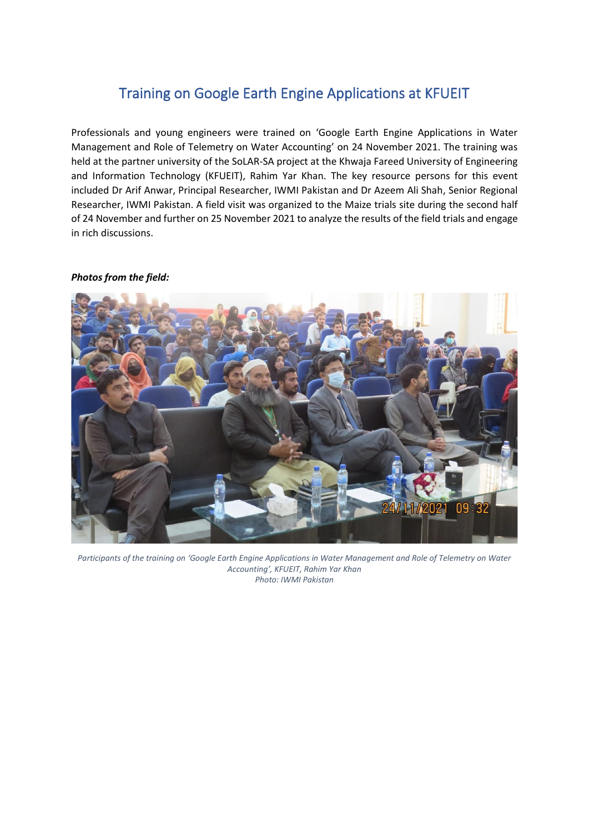## Training on Google Earth Engine Applications at KFUEIT

Professionals and young engineers were trained on 'Google Earth Engine Applications in Water Management and Role of Telemetry on Water Accounting' on 24 November 2021. The training was held at the partner university of the SoLAR-SA project at the Khwaja Fareed University of Engineering and Information Technology (KFUEIT), Rahim Yar Khan. The key resource persons for this event included Dr Arif Anwar, Principal Researcher, IWMI Pakistan and Dr Azeem Ali Shah, Senior Regional Researcher, IWMI Pakistan. A field visit was organized to the Maize trials site during the second half of 24 November and further on 25 November 2021 to analyze the results of the field trials and engage in rich discussions.

## *Photos from the field:*



*Participants of the training on 'Google Earth Engine Applications in Water Management and Role of Telemetry on Water Accounting', KFUEIT, Rahim Yar Khan Photo: IWMI Pakistan*